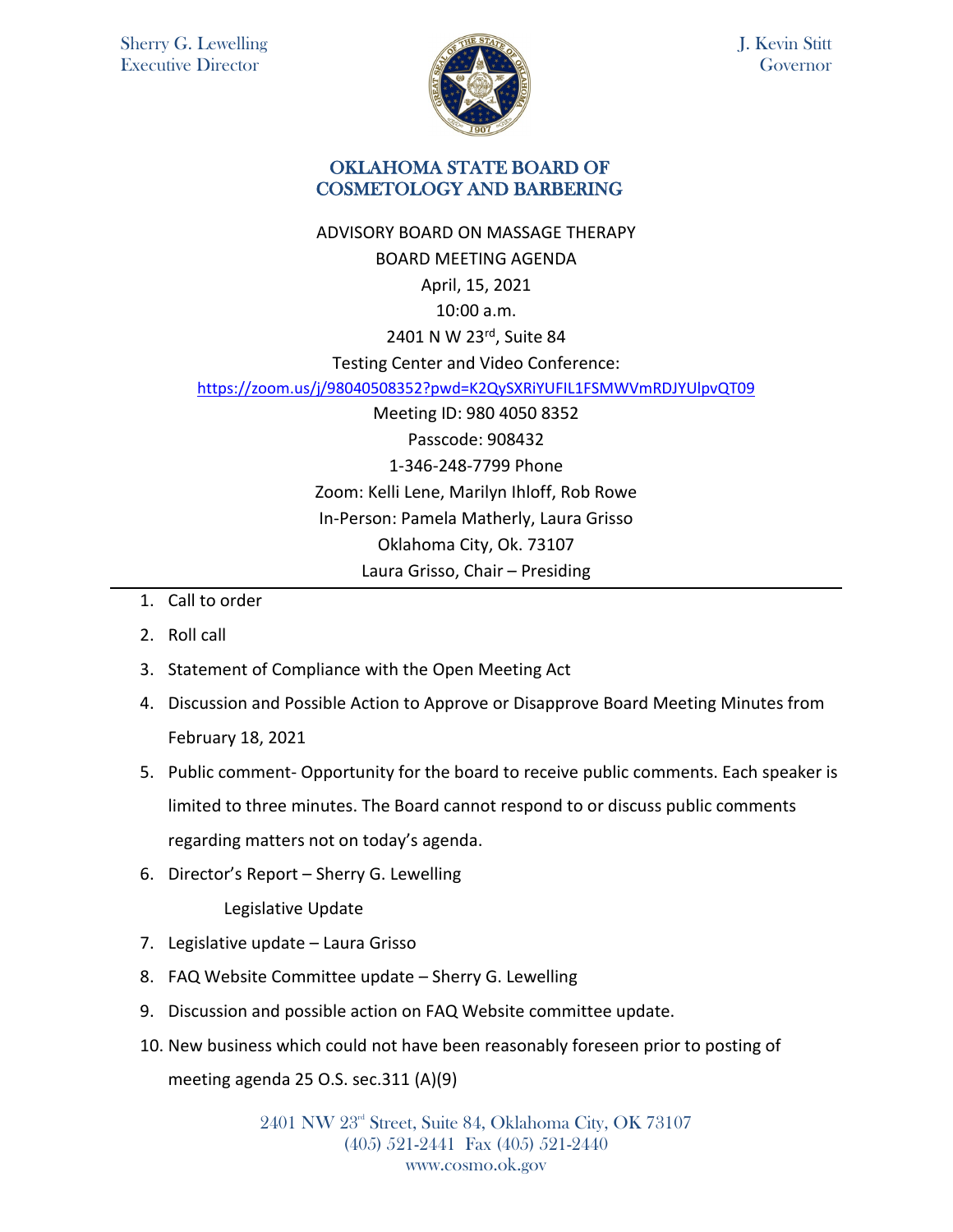

J. Kevin Stitt **Governor** 

## OKLAHOMA STATE BOARD OF COSMETOLOGY AND BARBERING

- ADVISORY BOARD ON MASSAGE THERAPY BOARD MEETING AGENDA April, 15, 2021 10:00 a.m. 2401 N W 23rd, Suite 84 Testing Center and Video Conference: <https://zoom.us/j/98040508352?pwd=K2QySXRiYUFIL1FSMWVmRDJYUlpvQT09> Meeting ID: 980 4050 8352 Passcode: 908432 1-346-248-7799 Phone Zoom: Kelli Lene, Marilyn Ihloff, Rob Rowe In-Person: Pamela Matherly, Laura Grisso Oklahoma City, Ok. 73107 Laura Grisso, Chair – Presiding
- 1. Call to order
- 2. Roll call
- 3. Statement of Compliance with the Open Meeting Act
- 4. Discussion and Possible Action to Approve or Disapprove Board Meeting Minutes from February 18, 2021
- 5. Public comment- Opportunity for the board to receive public comments. Each speaker is limited to three minutes. The Board cannot respond to or discuss public comments regarding matters not on today's agenda.
- 6. Director's Report Sherry G. Lewelling

Legislative Update

- 7. Legislative update Laura Grisso
- 8. FAQ Website Committee update Sherry G. Lewelling
- 9. Discussion and possible action on FAQ Website committee update.
- 10. New business which could not have been reasonably foreseen prior to posting of meeting agenda 25 O.S. sec.311 (A)(9)

2401 NW 23<sup>rd</sup> Street, Suite 84, Oklahoma City, OK 73107 (405) 521-2441 Fax (405) 521-2440 www.cosmo.ok.gov